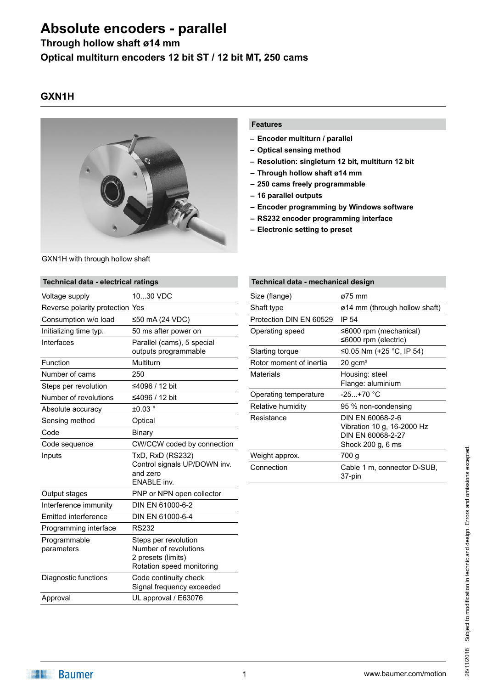### **Through hollow shaft ø14 mm**

**Optical multiturn encoders 12 bit ST / 12 bit MT, 250 cams**

### **GXN1H**



# GXN1H with through hollow shaft

### **Features**

- **– Encoder multiturn / parallel**
- **– Optical sensing method**
- **– Resolution: singleturn 12 bit, multiturn 12 bit**
- **– Through hollow shaft ø14 mm**
- **– 250 cams freely programmable**
- **– 16 parallel outputs**
- **– Encoder programming by Windows software**
- **– RS232 encoder programming interface**
- **– Electronic setting to preset**

| Technical data - electrical ratings |                                                                                                  |
|-------------------------------------|--------------------------------------------------------------------------------------------------|
| Voltage supply                      | 1030 VDC                                                                                         |
| Reverse polarity protection Yes     |                                                                                                  |
| Consumption w/o load                | ≤50 mA (24 VDC)                                                                                  |
| Initializing time typ.              | 50 ms after power on                                                                             |
| Interfaces                          | Parallel (cams), 5 special<br>outputs programmable                                               |
| Function                            | Multiturn                                                                                        |
| Number of cams                      | 250                                                                                              |
| Steps per revolution                | ≤4096 / 12 bit                                                                                   |
| Number of revolutions               | ≤4096 / 12 bit                                                                                   |
| Absolute accuracy                   | $\pm 0.03$ $^{\circ}$                                                                            |
| Sensing method                      | Optical                                                                                          |
| Code                                | Binary                                                                                           |
| Code sequence                       | CW/CCW coded by connection                                                                       |
| Inputs                              | TxD, RxD (RS232)<br>Control signals UP/DOWN inv.<br>and zero<br><b>ENABLE</b> inv.               |
| Output stages                       | PNP or NPN open collector                                                                        |
| Interference immunity               | DIN EN 61000-6-2                                                                                 |
| <b>Emitted interference</b>         | DIN EN 61000-6-4                                                                                 |
| Programming interface               | <b>RS232</b>                                                                                     |
| Programmable<br>parameters          | Steps per revolution<br>Number of revolutions<br>2 presets (limits)<br>Rotation speed monitoring |
| Diagnostic functions                | Code continuity check<br>Signal frequency exceeded                                               |
| Approval                            | UL approval / E63076                                                                             |

#### **Technical data - mechanical design** Size (flange) **ø75 mm** Shaft type **o** 14 mm (through hollow shaft) Protection DIN EN 60529 IP 54 Operating speed ≤6000 rpm (mechanical) ≤6000 rpm (electric) Starting torque  $≤0.05$  Nm (+25 °C, IP 54) Rotor moment of inertia 20 gcm<sup>2</sup> Materials Housing: steel Flange: aluminium Operating temperature -25...+70 °C Relative humidity 95 % non-condensing Resistance DIN EN 60068-2-6 Vibration 10 g, 16-2000 Hz DIN EN 60068-2-27 Shock 200 g, 6 ms Weight approx. 700 g Connection Cable 1 m, connector D-SUB, 37‑pin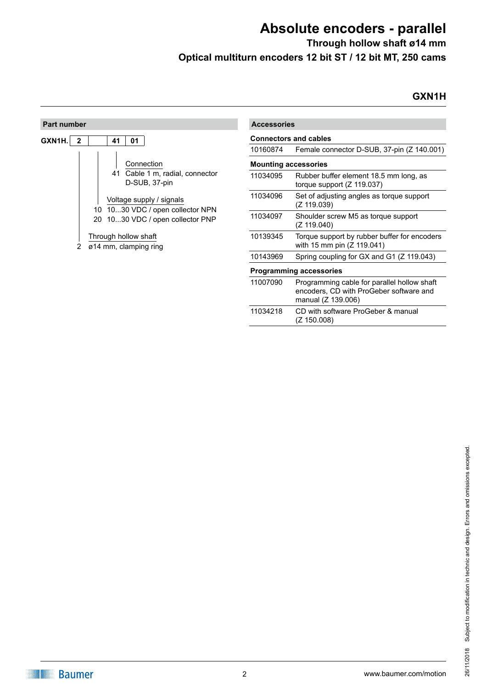**Through hollow shaft ø14 mm Optical multiturn encoders 12 bit ST / 12 bit MT, 250 cams**

### **GXN1H**

| <b>Part number</b>                                                                                                                                            | <b>Accessories</b>          |                                                                                                              |
|---------------------------------------------------------------------------------------------------------------------------------------------------------------|-----------------------------|--------------------------------------------------------------------------------------------------------------|
| GXN1H.<br>41<br>01<br>$\mathbf{2}$                                                                                                                            |                             | <b>Connectors and cables</b>                                                                                 |
|                                                                                                                                                               | 10160874                    | Female connector D-SUB, 37-pin (Z 140.001)                                                                   |
| Connection                                                                                                                                                    | <b>Mounting accessories</b> |                                                                                                              |
| Cable 1 m, radial, connector<br>41<br>D-SUB, 37-pin<br>Voltage supply / signals<br>1030 VDC / open collector NPN<br>10<br>1030 VDC / open collector PNP<br>20 | 11034095                    | Rubber buffer element 18.5 mm long, as<br>torque support $(Z 119.037)$                                       |
|                                                                                                                                                               | 11034096                    | Set of adjusting angles as torque support<br>(Z 119.039)                                                     |
|                                                                                                                                                               | 11034097                    | Shoulder screw M5 as torque support<br>(Z 119.040)                                                           |
| Through hollow shaft<br>ø14 mm, clamping ring                                                                                                                 | 10139345                    | Torque support by rubber buffer for encoders<br>with 15 mm pin (Z 119.041)                                   |
|                                                                                                                                                               | 10143969                    | Spring coupling for GX and G1 (Z 119.043)                                                                    |
|                                                                                                                                                               |                             | <b>Programming accessories</b>                                                                               |
|                                                                                                                                                               | 11007090                    | Programming cable for parallel hollow shaft<br>encoders, CD with ProGeber software and<br>manual (Z 139.006) |
|                                                                                                                                                               |                             | $\sim$ $\sim$ $\sim$ $\sim$ $\sim$ $\sim$                                                                    |

11034218 CD with software ProGeber & manual (Z 150.008)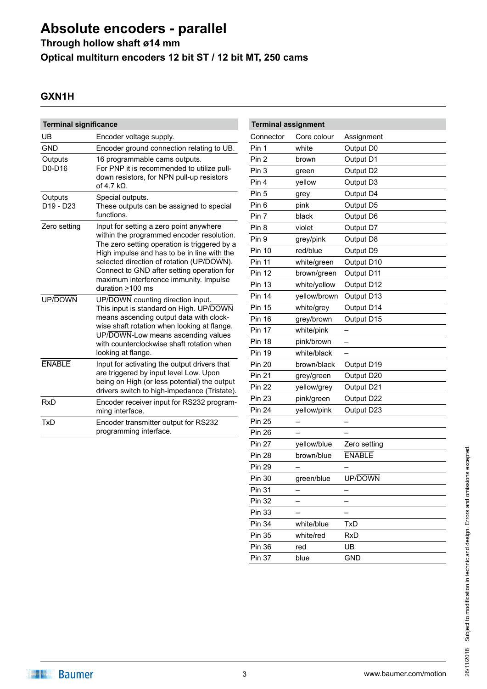**Through hollow shaft ø14 mm**

**Optical multiturn encoders 12 bit ST / 12 bit MT, 250 cams**

### **GXN1H**

| <b>Terminal significance</b>                 |                                                                                                                                                                                                 | <b>Terminal assignment</b> |           |
|----------------------------------------------|-------------------------------------------------------------------------------------------------------------------------------------------------------------------------------------------------|----------------------------|-----------|
| UB                                           | Encoder voltage supply.                                                                                                                                                                         | Connector                  | Core col  |
| <b>GND</b>                                   | Encoder ground connection relating to UB.                                                                                                                                                       | Pin 1                      | white     |
| Outputs                                      | 16 programmable cams outputs.<br>For PNP it is recommended to utilize pull-                                                                                                                     | Pin <sub>2</sub>           | brown     |
| D0-D16                                       |                                                                                                                                                                                                 | Pin <sub>3</sub>           | green     |
|                                              | down resistors, for NPN pull-up resistors<br>of 4.7 $k\Omega$ .                                                                                                                                 | Pin 4                      | yellow    |
| Outputs<br>D <sub>19</sub> - D <sub>23</sub> | Special outputs.<br>These outputs can be assigned to special                                                                                                                                    | Pin <sub>5</sub>           | grey      |
|                                              |                                                                                                                                                                                                 | Pin <sub>6</sub>           | pink      |
|                                              | functions.                                                                                                                                                                                      | Pin 7                      | black     |
| Zero setting                                 | Input for setting a zero point anywhere                                                                                                                                                         | Pin 8                      | violet    |
|                                              | within the programmed encoder resolution.<br>The zero setting operation is triggered by a                                                                                                       | Pin 9                      | grey/pink |
|                                              | High impulse and has to be in line with the                                                                                                                                                     | <b>Pin 10</b>              | red/blue  |
|                                              | selected direction of rotation (UP/DOWN).<br>Connect to GND after setting operation for<br>maximum interference immunity. Impulse<br>duration $\geq$ 100 ms                                     | <b>Pin 11</b>              | white/gre |
|                                              |                                                                                                                                                                                                 | <b>Pin 12</b>              | brown/gr  |
|                                              |                                                                                                                                                                                                 | <b>Pin 13</b>              | white/yel |
| UP/DOWN                                      | UP/DOWN counting direction input.                                                                                                                                                               | <b>Pin 14</b>              | yellow/br |
|                                              | This input is standard on High. UP/DOWN                                                                                                                                                         | <b>Pin 15</b>              | white/gre |
|                                              | means ascending output data with clock-<br>wise shaft rotation when looking at flange.<br>UP/DOWN-Low means ascending values<br>with counterclockwise shaft rotation when<br>looking at flange. | <b>Pin 16</b>              | grey/brow |
|                                              |                                                                                                                                                                                                 | <b>Pin 17</b>              | white/pin |
|                                              |                                                                                                                                                                                                 | <b>Pin 18</b>              | pink/brov |
|                                              |                                                                                                                                                                                                 | <b>Pin 19</b>              | white/bla |
| <b>ENABLE</b>                                | Input for activating the output drivers that<br>are triggered by input level Low. Upon                                                                                                          | <b>Pin 20</b>              | brown/bla |
|                                              |                                                                                                                                                                                                 | <b>Pin 21</b>              | grey/gree |
|                                              | being on High (or less potential) the output<br>drivers switch to high-impedance (Tristate).                                                                                                    | <b>Pin 22</b>              | yellow/gr |
| <b>RxD</b>                                   | Encoder receiver input for RS232 program-                                                                                                                                                       | <b>Pin 23</b>              | pink/gree |
|                                              | ming interface.                                                                                                                                                                                 | <b>Pin 24</b>              | yellow/pi |
| <b>TxD</b>                                   | Encoder transmitter output for RS232                                                                                                                                                            | <b>Pin 25</b>              |           |
|                                              | programming interface.                                                                                                                                                                          | <b>Pin 26</b>              |           |

| <b>Terminal assignment</b> |              |               |
|----------------------------|--------------|---------------|
| Connector                  | Core colour  | Assignment    |
| Pin 1                      | white        | Output D0     |
| Pin <sub>2</sub>           | brown        | Output D1     |
| Pin <sub>3</sub>           | green        | Output D2     |
| Pin 4                      | yellow       | Output D3     |
| Pin <sub>5</sub>           | grey         | Output D4     |
| Pin <sub>6</sub>           | pink         | Output D5     |
| Pin 7                      | black        | Output D6     |
| Pin <sub>8</sub>           | violet       | Output D7     |
| Pin 9                      | grey/pink    | Output D8     |
| <b>Pin 10</b>              | red/blue     | Output D9     |
| <b>Pin 11</b>              | white/green  | Output D10    |
| <b>Pin 12</b>              | brown/green  | Output D11    |
| <b>Pin 13</b>              | white/yellow | Output D12    |
| <b>Pin 14</b>              | yellow/brown | Output D13    |
| <b>Pin 15</b>              | white/grey   | Output D14    |
| <b>Pin 16</b>              | grey/brown   | Output D15    |
| <b>Pin 17</b>              | white/pink   |               |
| <b>Pin 18</b>              | pink/brown   |               |
| <b>Pin 19</b>              | white/black  |               |
| <b>Pin 20</b>              | brown/black  | Output D19    |
| <b>Pin 21</b>              | grey/green   | Output D20    |
| <b>Pin 22</b>              | yellow/grey  | Output D21    |
| <b>Pin 23</b>              | pink/green   | Output D22    |
| <b>Pin 24</b>              | yellow/pink  | Output D23    |
| <b>Pin 25</b>              |              |               |
| <b>Pin 26</b>              |              |               |
| <b>Pin 27</b>              | yellow/blue  | Zero setting  |
| <b>Pin 28</b>              | brown/blue   | <b>ENABLE</b> |
| <b>Pin 29</b>              |              |               |
| <b>Pin 30</b>              | green/blue   | UP/DOWN       |
| Pin 31                     |              |               |
| Pin 32                     |              |               |
| <b>Pin 33</b>              |              |               |
| Pin 34                     | white/blue   | TxD           |
| <b>Pin 35</b>              | white/red    | <b>RxD</b>    |
| <b>Pin 36</b>              | red          | UB            |
| <b>Pin 37</b>              | blue         | <b>GND</b>    |
|                            |              |               |